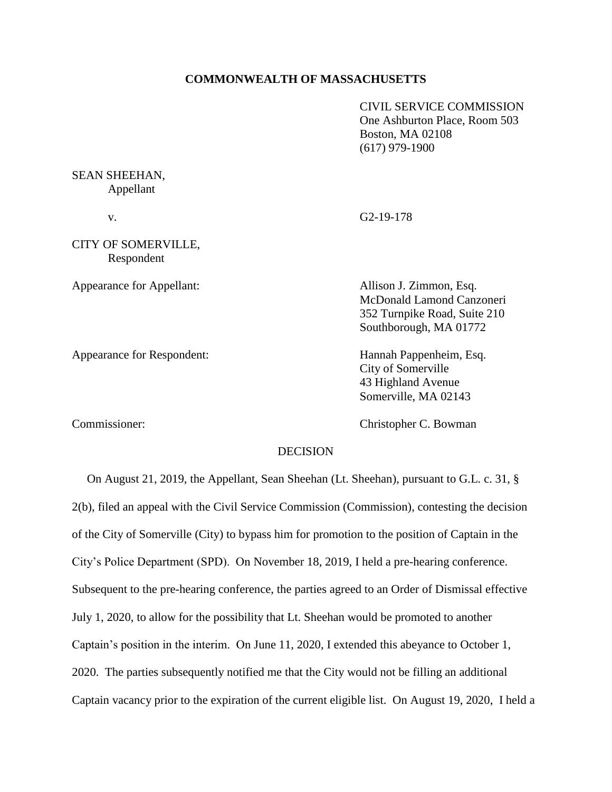### **COMMONWEALTH OF MASSACHUSETTS**

CIVIL SERVICE COMMISSION One Ashburton Place, Room 503 Boston, MA 02108 (617) 979-1900

# SEAN SHEEHAN, Appellant v. G2-19-178 CITY OF SOMERVILLE, Respondent Appearance for Appellant: Allison J. Zimmon, Esq. McDonald Lamond Canzoneri 352 Turnpike Road, Suite 210 Southborough, MA 01772 Appearance for Respondent: Hannah Pappenheim, Esq. City of Somerville 43 Highland Avenue

Commissioner: Christopher C. Bowman

Somerville, MA 02143

# **DECISION**

 On August 21, 2019, the Appellant, Sean Sheehan (Lt. Sheehan), pursuant to G.L. c. 31, § 2(b), filed an appeal with the Civil Service Commission (Commission), contesting the decision of the City of Somerville (City) to bypass him for promotion to the position of Captain in the City's Police Department (SPD). On November 18, 2019, I held a pre-hearing conference. Subsequent to the pre-hearing conference, the parties agreed to an Order of Dismissal effective July 1, 2020, to allow for the possibility that Lt. Sheehan would be promoted to another Captain's position in the interim. On June 11, 2020, I extended this abeyance to October 1, 2020. The parties subsequently notified me that the City would not be filling an additional Captain vacancy prior to the expiration of the current eligible list. On August 19, 2020, I held a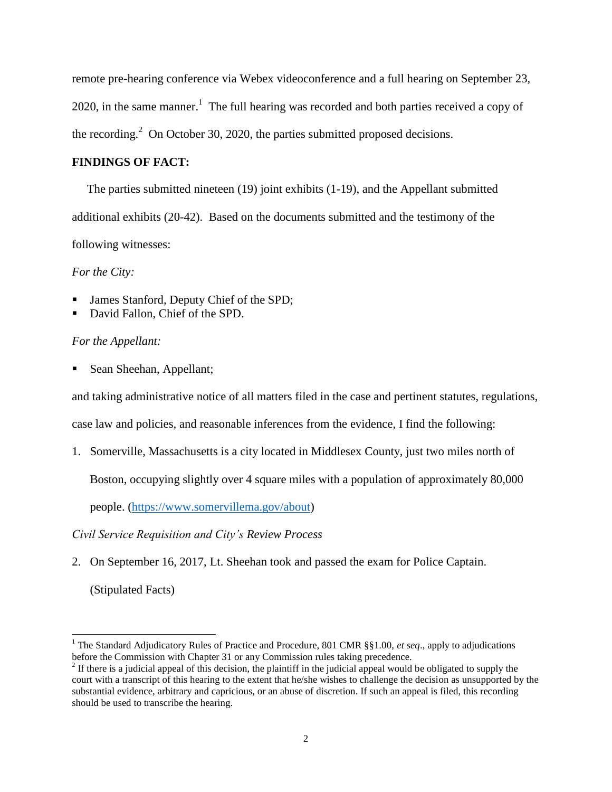remote pre-hearing conference via Webex videoconference and a full hearing on September 23, 2020, in the same manner.<sup>1</sup> The full hearing was recorded and both parties received a copy of the recording.<sup>2</sup> On October 30, 2020, the parties submitted proposed decisions.

## **FINDINGS OF FACT:**

The parties submitted nineteen (19) joint exhibits (1-19), and the Appellant submitted additional exhibits (20-42). Based on the documents submitted and the testimony of the following witnesses:

*For the City:*

- James Stanford, Deputy Chief of the SPD;
- David Fallon, Chief of the SPD.

## *For the Appellant:*

Sean Sheehan, Appellant;

and taking administrative notice of all matters filed in the case and pertinent statutes, regulations,

case law and policies, and reasonable inferences from the evidence, I find the following:

1. Somerville, Massachusetts is a city located in Middlesex County, just two miles north of

Boston, occupying slightly over 4 square miles with a population of approximately 80,000

people. [\(https://www.somervillema.gov/about\)](https://www.somervillema.gov/about)

*Civil Service Requisition and City's Review Process*

2. On September 16, 2017, Lt. Sheehan took and passed the exam for Police Captain.

(Stipulated Facts)

÷,

<sup>1</sup> The Standard Adjudicatory Rules of Practice and Procedure, 801 CMR §§1.00, *et seq*., apply to adjudications before the Commission with Chapter 31 or any Commission rules taking precedence.

 $2<sup>2</sup>$  If there is a judicial appeal of this decision, the plaintiff in the judicial appeal would be obligated to supply the court with a transcript of this hearing to the extent that he/she wishes to challenge the decision as unsupported by the substantial evidence, arbitrary and capricious, or an abuse of discretion. If such an appeal is filed, this recording should be used to transcribe the hearing.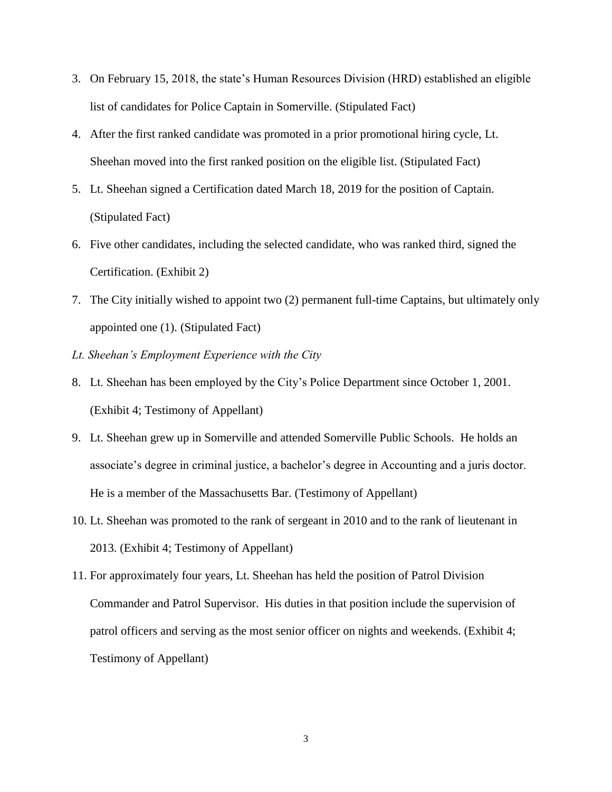- 3. On February 15, 2018, the state's Human Resources Division (HRD) established an eligible list of candidates for Police Captain in Somerville. (Stipulated Fact)
- 4. After the first ranked candidate was promoted in a prior promotional hiring cycle, Lt. Sheehan moved into the first ranked position on the eligible list. (Stipulated Fact)
- 5. Lt. Sheehan signed a Certification dated March 18, 2019 for the position of Captain. (Stipulated Fact)
- 6. Five other candidates, including the selected candidate, who was ranked third, signed the Certification. (Exhibit 2)
- 7. The City initially wished to appoint two (2) permanent full-time Captains, but ultimately only appointed one (1). (Stipulated Fact)
- *Lt. Sheehan's Employment Experience with the City*
- 8. Lt. Sheehan has been employed by the City's Police Department since October 1, 2001. (Exhibit 4; Testimony of Appellant)
- 9. Lt. Sheehan grew up in Somerville and attended Somerville Public Schools. He holds an associate's degree in criminal justice, a bachelor's degree in Accounting and a juris doctor. He is a member of the Massachusetts Bar. (Testimony of Appellant)
- 10. Lt. Sheehan was promoted to the rank of sergeant in 2010 and to the rank of lieutenant in 2013. (Exhibit 4; Testimony of Appellant)
- 11. For approximately four years, Lt. Sheehan has held the position of Patrol Division Commander and Patrol Supervisor. His duties in that position include the supervision of patrol officers and serving as the most senior officer on nights and weekends. (Exhibit 4; Testimony of Appellant)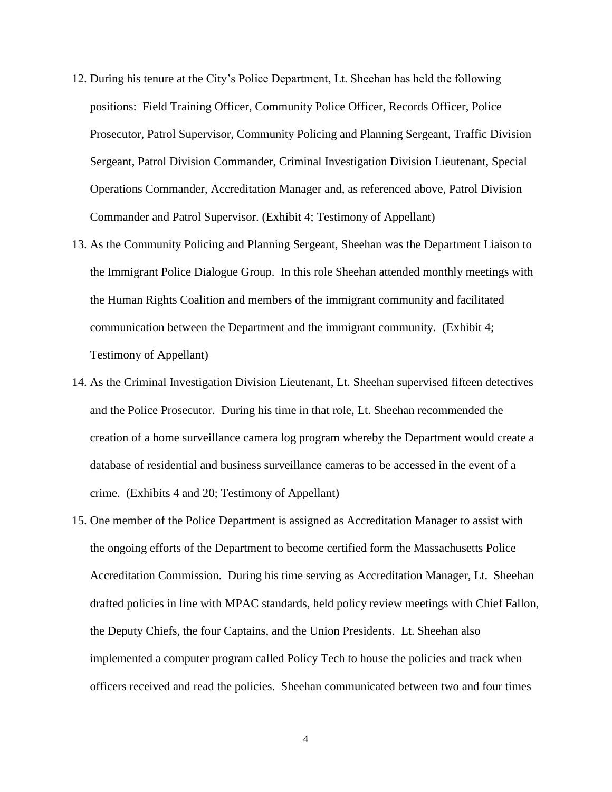- 12. During his tenure at the City's Police Department, Lt. Sheehan has held the following positions: Field Training Officer, Community Police Officer, Records Officer, Police Prosecutor, Patrol Supervisor, Community Policing and Planning Sergeant, Traffic Division Sergeant, Patrol Division Commander, Criminal Investigation Division Lieutenant, Special Operations Commander, Accreditation Manager and, as referenced above, Patrol Division Commander and Patrol Supervisor. (Exhibit 4; Testimony of Appellant)
- 13. As the Community Policing and Planning Sergeant, Sheehan was the Department Liaison to the Immigrant Police Dialogue Group. In this role Sheehan attended monthly meetings with the Human Rights Coalition and members of the immigrant community and facilitated communication between the Department and the immigrant community. (Exhibit 4; Testimony of Appellant)
- 14. As the Criminal Investigation Division Lieutenant, Lt. Sheehan supervised fifteen detectives and the Police Prosecutor. During his time in that role, Lt. Sheehan recommended the creation of a home surveillance camera log program whereby the Department would create a database of residential and business surveillance cameras to be accessed in the event of a crime. (Exhibits 4 and 20; Testimony of Appellant)
- 15. One member of the Police Department is assigned as Accreditation Manager to assist with the ongoing efforts of the Department to become certified form the Massachusetts Police Accreditation Commission. During his time serving as Accreditation Manager, Lt. Sheehan drafted policies in line with MPAC standards, held policy review meetings with Chief Fallon, the Deputy Chiefs, the four Captains, and the Union Presidents. Lt. Sheehan also implemented a computer program called Policy Tech to house the policies and track when officers received and read the policies. Sheehan communicated between two and four times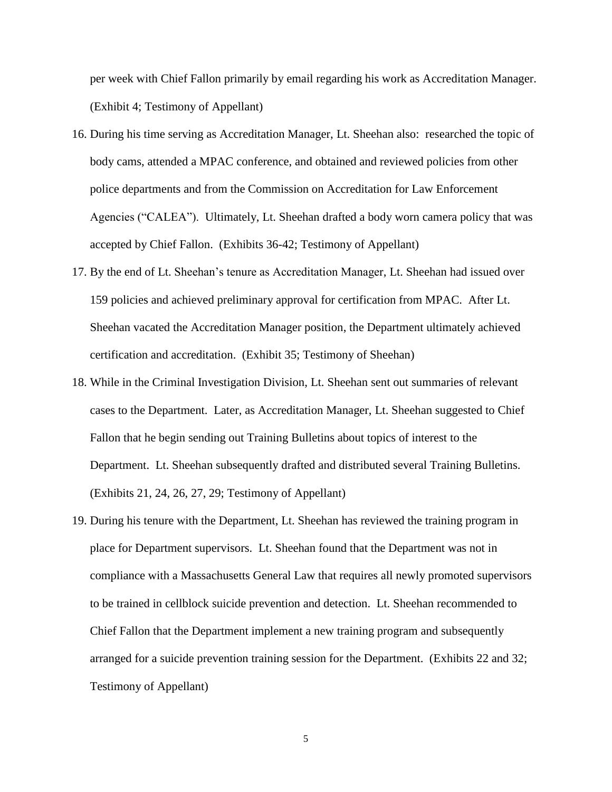per week with Chief Fallon primarily by email regarding his work as Accreditation Manager. (Exhibit 4; Testimony of Appellant)

- 16. During his time serving as Accreditation Manager, Lt. Sheehan also: researched the topic of body cams, attended a MPAC conference, and obtained and reviewed policies from other police departments and from the Commission on Accreditation for Law Enforcement Agencies ("CALEA"). Ultimately, Lt. Sheehan drafted a body worn camera policy that was accepted by Chief Fallon. (Exhibits 36-42; Testimony of Appellant)
- 17. By the end of Lt. Sheehan's tenure as Accreditation Manager, Lt. Sheehan had issued over 159 policies and achieved preliminary approval for certification from MPAC. After Lt. Sheehan vacated the Accreditation Manager position, the Department ultimately achieved certification and accreditation. (Exhibit 35; Testimony of Sheehan)
- 18. While in the Criminal Investigation Division, Lt. Sheehan sent out summaries of relevant cases to the Department. Later, as Accreditation Manager, Lt. Sheehan suggested to Chief Fallon that he begin sending out Training Bulletins about topics of interest to the Department. Lt. Sheehan subsequently drafted and distributed several Training Bulletins. (Exhibits 21, 24, 26, 27, 29; Testimony of Appellant)
- 19. During his tenure with the Department, Lt. Sheehan has reviewed the training program in place for Department supervisors. Lt. Sheehan found that the Department was not in compliance with a Massachusetts General Law that requires all newly promoted supervisors to be trained in cellblock suicide prevention and detection. Lt. Sheehan recommended to Chief Fallon that the Department implement a new training program and subsequently arranged for a suicide prevention training session for the Department. (Exhibits 22 and 32; Testimony of Appellant)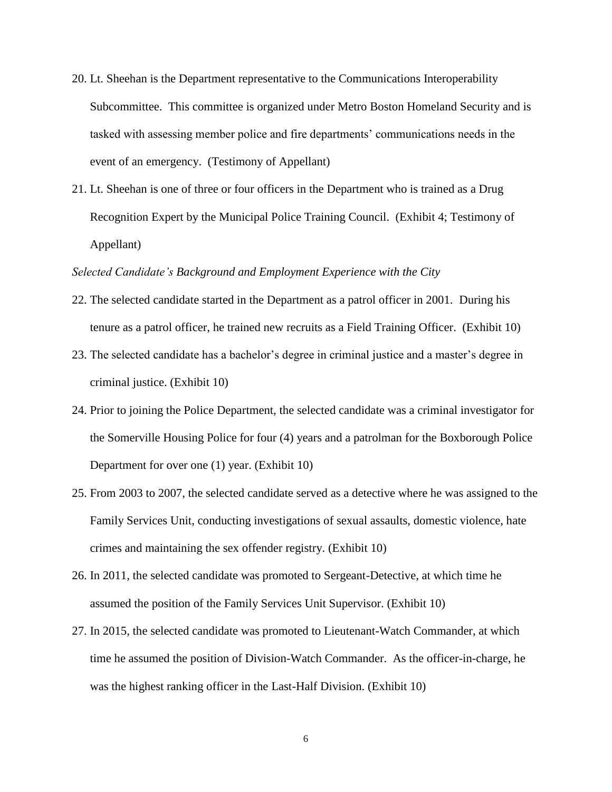- 20. Lt. Sheehan is the Department representative to the Communications Interoperability Subcommittee. This committee is organized under Metro Boston Homeland Security and is tasked with assessing member police and fire departments' communications needs in the event of an emergency. (Testimony of Appellant)
- 21. Lt. Sheehan is one of three or four officers in the Department who is trained as a Drug Recognition Expert by the Municipal Police Training Council. (Exhibit 4; Testimony of Appellant)

#### *Selected Candidate's Background and Employment Experience with the City*

- 22. The selected candidate started in the Department as a patrol officer in 2001. During his tenure as a patrol officer, he trained new recruits as a Field Training Officer. (Exhibit 10)
- 23. The selected candidate has a bachelor's degree in criminal justice and a master's degree in criminal justice. (Exhibit 10)
- 24. Prior to joining the Police Department, the selected candidate was a criminal investigator for the Somerville Housing Police for four (4) years and a patrolman for the Boxborough Police Department for over one (1) year. (Exhibit 10)
- 25. From 2003 to 2007, the selected candidate served as a detective where he was assigned to the Family Services Unit, conducting investigations of sexual assaults, domestic violence, hate crimes and maintaining the sex offender registry. (Exhibit 10)
- 26. In 2011, the selected candidate was promoted to Sergeant-Detective, at which time he assumed the position of the Family Services Unit Supervisor. (Exhibit 10)
- 27. In 2015, the selected candidate was promoted to Lieutenant-Watch Commander, at which time he assumed the position of Division-Watch Commander. As the officer-in-charge, he was the highest ranking officer in the Last-Half Division. (Exhibit 10)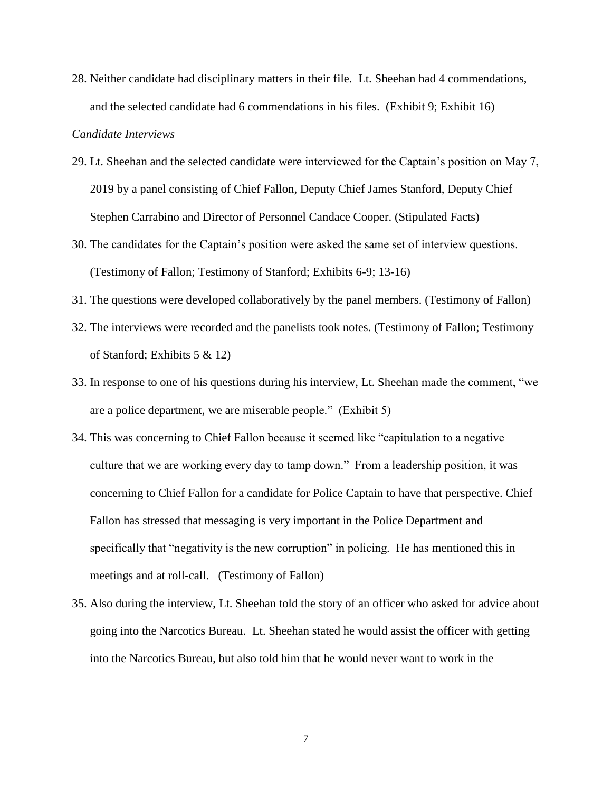28. Neither candidate had disciplinary matters in their file. Lt. Sheehan had 4 commendations, and the selected candidate had 6 commendations in his files. (Exhibit 9; Exhibit 16)

### *Candidate Interviews*

- 29. Lt. Sheehan and the selected candidate were interviewed for the Captain's position on May 7, 2019 by a panel consisting of Chief Fallon, Deputy Chief James Stanford, Deputy Chief Stephen Carrabino and Director of Personnel Candace Cooper. (Stipulated Facts)
- 30. The candidates for the Captain's position were asked the same set of interview questions. (Testimony of Fallon; Testimony of Stanford; Exhibits 6-9; 13-16)
- 31. The questions were developed collaboratively by the panel members. (Testimony of Fallon)
- 32. The interviews were recorded and the panelists took notes. (Testimony of Fallon; Testimony of Stanford; Exhibits 5 & 12)
- 33. In response to one of his questions during his interview, Lt. Sheehan made the comment, "we are a police department, we are miserable people." (Exhibit 5)
- 34. This was concerning to Chief Fallon because it seemed like "capitulation to a negative culture that we are working every day to tamp down." From a leadership position, it was concerning to Chief Fallon for a candidate for Police Captain to have that perspective. Chief Fallon has stressed that messaging is very important in the Police Department and specifically that "negativity is the new corruption" in policing. He has mentioned this in meetings and at roll-call. (Testimony of Fallon)
- 35. Also during the interview, Lt. Sheehan told the story of an officer who asked for advice about going into the Narcotics Bureau. Lt. Sheehan stated he would assist the officer with getting into the Narcotics Bureau, but also told him that he would never want to work in the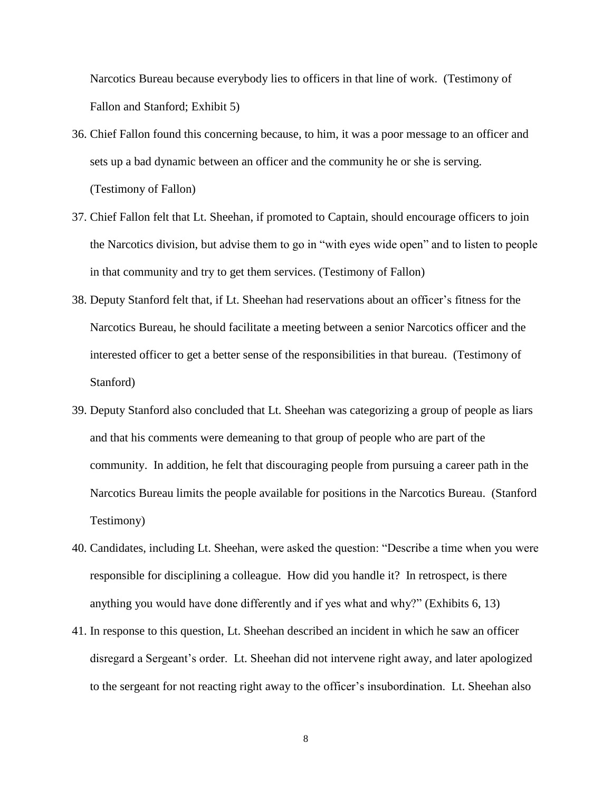Narcotics Bureau because everybody lies to officers in that line of work. (Testimony of Fallon and Stanford; Exhibit 5)

- 36. Chief Fallon found this concerning because, to him, it was a poor message to an officer and sets up a bad dynamic between an officer and the community he or she is serving. (Testimony of Fallon)
- 37. Chief Fallon felt that Lt. Sheehan, if promoted to Captain, should encourage officers to join the Narcotics division, but advise them to go in "with eyes wide open" and to listen to people in that community and try to get them services. (Testimony of Fallon)
- 38. Deputy Stanford felt that, if Lt. Sheehan had reservations about an officer's fitness for the Narcotics Bureau, he should facilitate a meeting between a senior Narcotics officer and the interested officer to get a better sense of the responsibilities in that bureau. (Testimony of Stanford)
- 39. Deputy Stanford also concluded that Lt. Sheehan was categorizing a group of people as liars and that his comments were demeaning to that group of people who are part of the community. In addition, he felt that discouraging people from pursuing a career path in the Narcotics Bureau limits the people available for positions in the Narcotics Bureau. (Stanford Testimony)
- 40. Candidates, including Lt. Sheehan, were asked the question: "Describe a time when you were responsible for disciplining a colleague. How did you handle it? In retrospect, is there anything you would have done differently and if yes what and why?" (Exhibits 6, 13)
- 41. In response to this question, Lt. Sheehan described an incident in which he saw an officer disregard a Sergeant's order. Lt. Sheehan did not intervene right away, and later apologized to the sergeant for not reacting right away to the officer's insubordination. Lt. Sheehan also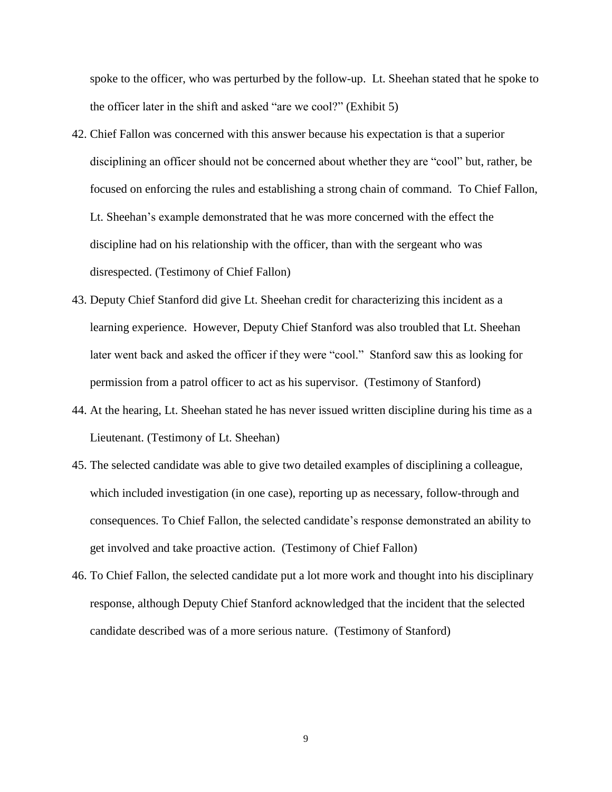spoke to the officer, who was perturbed by the follow-up. Lt. Sheehan stated that he spoke to the officer later in the shift and asked "are we cool?" (Exhibit 5)

- 42. Chief Fallon was concerned with this answer because his expectation is that a superior disciplining an officer should not be concerned about whether they are "cool" but, rather, be focused on enforcing the rules and establishing a strong chain of command. To Chief Fallon, Lt. Sheehan's example demonstrated that he was more concerned with the effect the discipline had on his relationship with the officer, than with the sergeant who was disrespected. (Testimony of Chief Fallon)
- 43. Deputy Chief Stanford did give Lt. Sheehan credit for characterizing this incident as a learning experience. However, Deputy Chief Stanford was also troubled that Lt. Sheehan later went back and asked the officer if they were "cool." Stanford saw this as looking for permission from a patrol officer to act as his supervisor. (Testimony of Stanford)
- 44. At the hearing, Lt. Sheehan stated he has never issued written discipline during his time as a Lieutenant. (Testimony of Lt. Sheehan)
- 45. The selected candidate was able to give two detailed examples of disciplining a colleague, which included investigation (in one case), reporting up as necessary, follow-through and consequences. To Chief Fallon, the selected candidate's response demonstrated an ability to get involved and take proactive action. (Testimony of Chief Fallon)
- 46. To Chief Fallon, the selected candidate put a lot more work and thought into his disciplinary response, although Deputy Chief Stanford acknowledged that the incident that the selected candidate described was of a more serious nature. (Testimony of Stanford)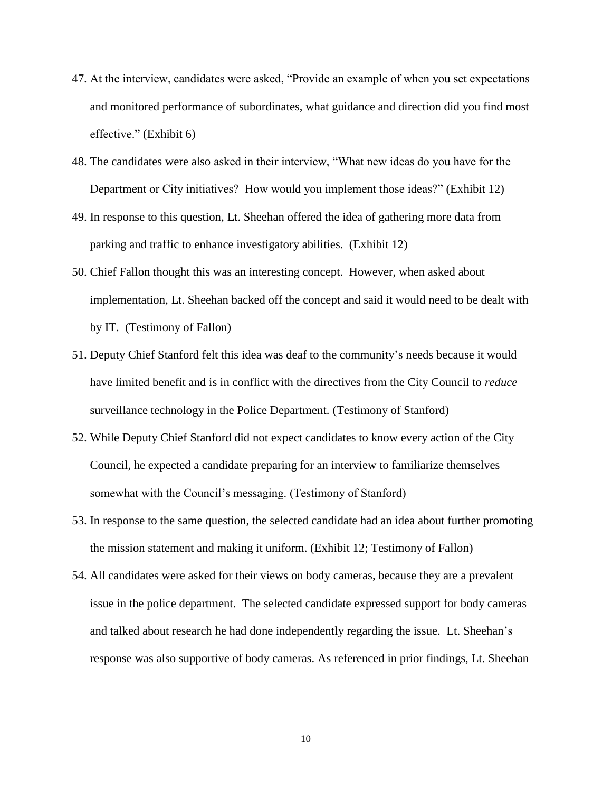- 47. At the interview, candidates were asked, "Provide an example of when you set expectations and monitored performance of subordinates, what guidance and direction did you find most effective." (Exhibit 6)
- 48. The candidates were also asked in their interview, "What new ideas do you have for the Department or City initiatives? How would you implement those ideas?" (Exhibit 12)
- 49. In response to this question, Lt. Sheehan offered the idea of gathering more data from parking and traffic to enhance investigatory abilities. (Exhibit 12)
- 50. Chief Fallon thought this was an interesting concept. However, when asked about implementation, Lt. Sheehan backed off the concept and said it would need to be dealt with by IT. (Testimony of Fallon)
- 51. Deputy Chief Stanford felt this idea was deaf to the community's needs because it would have limited benefit and is in conflict with the directives from the City Council to *reduce*  surveillance technology in the Police Department. (Testimony of Stanford)
- 52. While Deputy Chief Stanford did not expect candidates to know every action of the City Council, he expected a candidate preparing for an interview to familiarize themselves somewhat with the Council's messaging. (Testimony of Stanford)
- 53. In response to the same question, the selected candidate had an idea about further promoting the mission statement and making it uniform. (Exhibit 12; Testimony of Fallon)
- 54. All candidates were asked for their views on body cameras, because they are a prevalent issue in the police department. The selected candidate expressed support for body cameras and talked about research he had done independently regarding the issue. Lt. Sheehan's response was also supportive of body cameras. As referenced in prior findings, Lt. Sheehan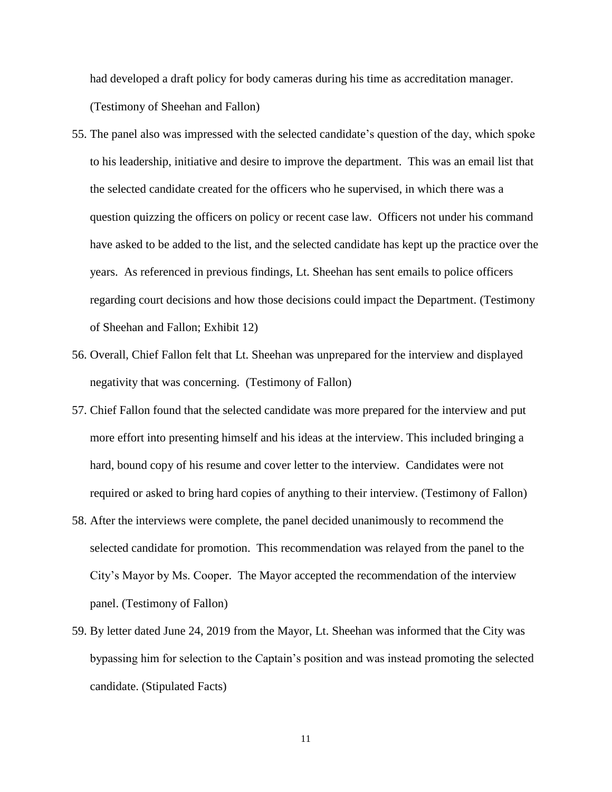had developed a draft policy for body cameras during his time as accreditation manager. (Testimony of Sheehan and Fallon)

- 55. The panel also was impressed with the selected candidate's question of the day, which spoke to his leadership, initiative and desire to improve the department. This was an email list that the selected candidate created for the officers who he supervised, in which there was a question quizzing the officers on policy or recent case law. Officers not under his command have asked to be added to the list, and the selected candidate has kept up the practice over the years. As referenced in previous findings, Lt. Sheehan has sent emails to police officers regarding court decisions and how those decisions could impact the Department. (Testimony of Sheehan and Fallon; Exhibit 12)
- 56. Overall, Chief Fallon felt that Lt. Sheehan was unprepared for the interview and displayed negativity that was concerning. (Testimony of Fallon)
- 57. Chief Fallon found that the selected candidate was more prepared for the interview and put more effort into presenting himself and his ideas at the interview. This included bringing a hard, bound copy of his resume and cover letter to the interview. Candidates were not required or asked to bring hard copies of anything to their interview. (Testimony of Fallon)
- 58. After the interviews were complete, the panel decided unanimously to recommend the selected candidate for promotion. This recommendation was relayed from the panel to the City's Mayor by Ms. Cooper. The Mayor accepted the recommendation of the interview panel. (Testimony of Fallon)
- 59. By letter dated June 24, 2019 from the Mayor, Lt. Sheehan was informed that the City was bypassing him for selection to the Captain's position and was instead promoting the selected candidate. (Stipulated Facts)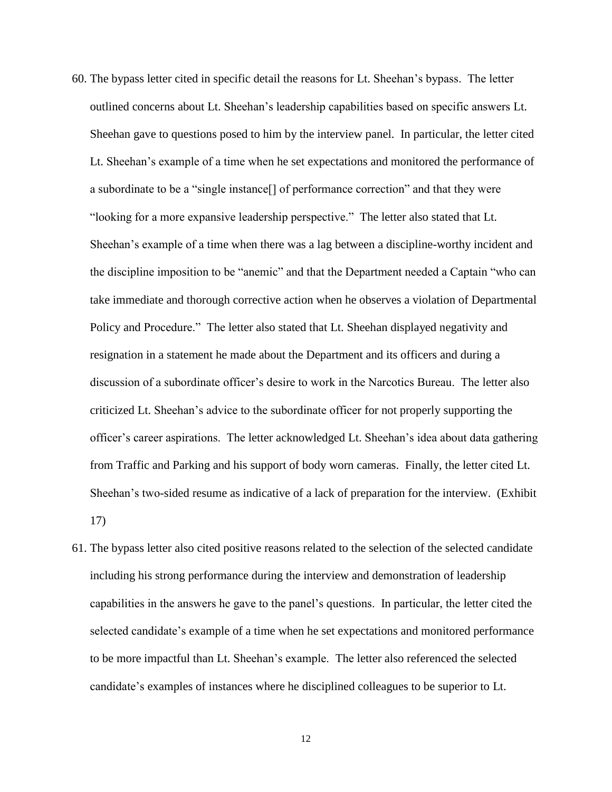- 60. The bypass letter cited in specific detail the reasons for Lt. Sheehan's bypass. The letter outlined concerns about Lt. Sheehan's leadership capabilities based on specific answers Lt. Sheehan gave to questions posed to him by the interview panel. In particular, the letter cited Lt. Sheehan's example of a time when he set expectations and monitored the performance of a subordinate to be a "single instance[] of performance correction" and that they were "looking for a more expansive leadership perspective." The letter also stated that Lt. Sheehan's example of a time when there was a lag between a discipline-worthy incident and the discipline imposition to be "anemic" and that the Department needed a Captain "who can take immediate and thorough corrective action when he observes a violation of Departmental Policy and Procedure." The letter also stated that Lt. Sheehan displayed negativity and resignation in a statement he made about the Department and its officers and during a discussion of a subordinate officer's desire to work in the Narcotics Bureau. The letter also criticized Lt. Sheehan's advice to the subordinate officer for not properly supporting the officer's career aspirations. The letter acknowledged Lt. Sheehan's idea about data gathering from Traffic and Parking and his support of body worn cameras. Finally, the letter cited Lt. Sheehan's two-sided resume as indicative of a lack of preparation for the interview. (Exhibit 17)
- 61. The bypass letter also cited positive reasons related to the selection of the selected candidate including his strong performance during the interview and demonstration of leadership capabilities in the answers he gave to the panel's questions. In particular, the letter cited the selected candidate's example of a time when he set expectations and monitored performance to be more impactful than Lt. Sheehan's example. The letter also referenced the selected candidate's examples of instances where he disciplined colleagues to be superior to Lt.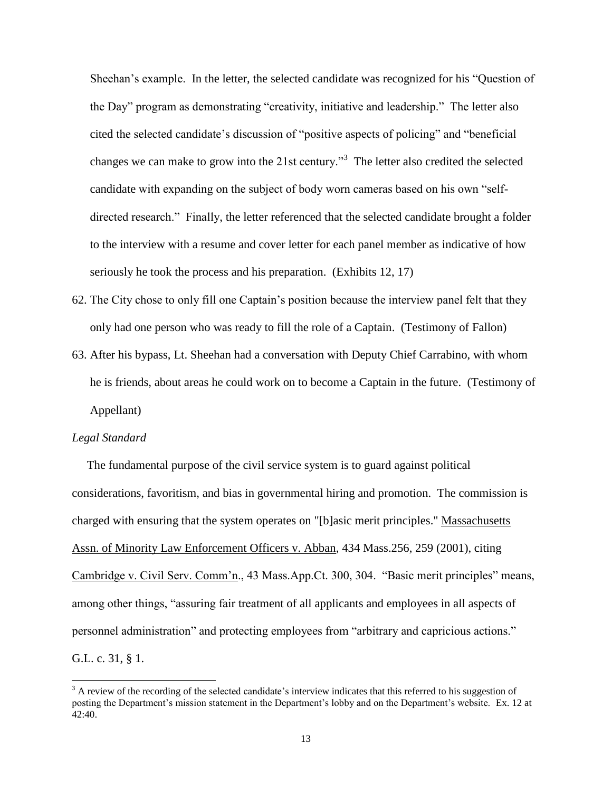Sheehan's example. In the letter, the selected candidate was recognized for his "Question of the Day" program as demonstrating "creativity, initiative and leadership." The letter also cited the selected candidate's discussion of "positive aspects of policing" and "beneficial changes we can make to grow into the 21st century.<sup>3</sup> The letter also credited the selected candidate with expanding on the subject of body worn cameras based on his own "selfdirected research." Finally, the letter referenced that the selected candidate brought a folder to the interview with a resume and cover letter for each panel member as indicative of how seriously he took the process and his preparation. (Exhibits 12, 17)

- 62. The City chose to only fill one Captain's position because the interview panel felt that they only had one person who was ready to fill the role of a Captain. (Testimony of Fallon)
- 63. After his bypass, Lt. Sheehan had a conversation with Deputy Chief Carrabino, with whom he is friends, about areas he could work on to become a Captain in the future. (Testimony of Appellant)

#### *Legal Standard*

J.

 The fundamental purpose of the civil service system is to guard against political considerations, favoritism, and bias in governmental hiring and promotion. The commission is charged with ensuring that the system operates on "[b]asic merit principles." Massachusetts Assn. of Minority Law Enforcement Officers v. Abban, 434 Mass.256, 259 (2001), citing Cambridge v. Civil Serv. Comm'n., 43 Mass.App.Ct. 300, 304. "Basic merit principles" means, among other things, "assuring fair treatment of all applicants and employees in all aspects of personnel administration" and protecting employees from "arbitrary and capricious actions." G.L. c. 31, § 1.

 $3$  A review of the recording of the selected candidate's interview indicates that this referred to his suggestion of posting the Department's mission statement in the Department's lobby and on the Department's website. Ex. 12 at 42:40.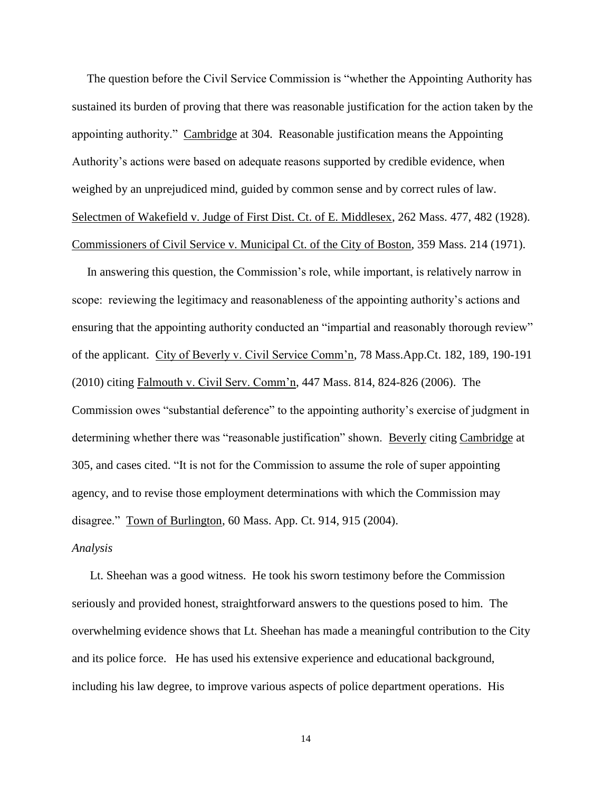The question before the Civil Service Commission is "whether the Appointing Authority has sustained its burden of proving that there was reasonable justification for the action taken by the appointing authority." Cambridge at 304. Reasonable justification means the Appointing Authority's actions were based on adequate reasons supported by credible evidence, when weighed by an unprejudiced mind, guided by common sense and by correct rules of law. Selectmen of Wakefield v. Judge of First Dist. Ct. of E. Middlesex, 262 Mass. 477, 482 (1928). Commissioners of Civil Service v. Municipal Ct. of the City of Boston, 359 Mass. 214 (1971).

 In answering this question, the Commission's role, while important, is relatively narrow in scope: reviewing the legitimacy and reasonableness of the appointing authority's actions and ensuring that the appointing authority conducted an "impartial and reasonably thorough review" of the applicant. City of Beverly v. Civil Service Comm'n, 78 Mass.App.Ct. 182, 189, 190-191 (2010) citing Falmouth v. Civil Serv. Comm'n, 447 Mass. 814, 824-826 (2006). The Commission owes "substantial deference" to the appointing authority's exercise of judgment in determining whether there was "reasonable justification" shown. Beverly citing Cambridge at 305, and cases cited. "It is not for the Commission to assume the role of super appointing agency, and to revise those employment determinations with which the Commission may disagree." Town of Burlington, 60 Mass. App. Ct. 914, 915 (2004).

### *Analysis*

 Lt. Sheehan was a good witness. He took his sworn testimony before the Commission seriously and provided honest, straightforward answers to the questions posed to him. The overwhelming evidence shows that Lt. Sheehan has made a meaningful contribution to the City and its police force. He has used his extensive experience and educational background, including his law degree, to improve various aspects of police department operations. His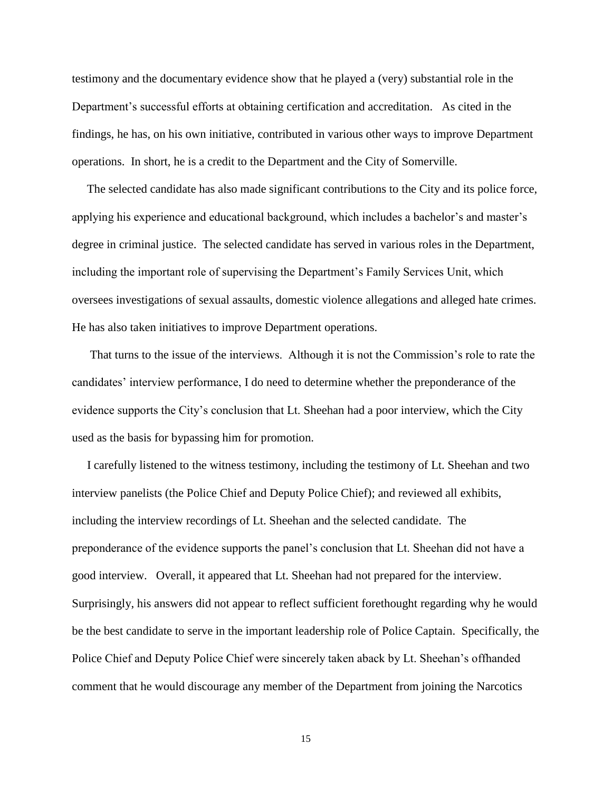testimony and the documentary evidence show that he played a (very) substantial role in the Department's successful efforts at obtaining certification and accreditation. As cited in the findings, he has, on his own initiative, contributed in various other ways to improve Department operations. In short, he is a credit to the Department and the City of Somerville.

 The selected candidate has also made significant contributions to the City and its police force, applying his experience and educational background, which includes a bachelor's and master's degree in criminal justice. The selected candidate has served in various roles in the Department, including the important role of supervising the Department's Family Services Unit, which oversees investigations of sexual assaults, domestic violence allegations and alleged hate crimes. He has also taken initiatives to improve Department operations.

 That turns to the issue of the interviews. Although it is not the Commission's role to rate the candidates' interview performance, I do need to determine whether the preponderance of the evidence supports the City's conclusion that Lt. Sheehan had a poor interview, which the City used as the basis for bypassing him for promotion.

 I carefully listened to the witness testimony, including the testimony of Lt. Sheehan and two interview panelists (the Police Chief and Deputy Police Chief); and reviewed all exhibits, including the interview recordings of Lt. Sheehan and the selected candidate. The preponderance of the evidence supports the panel's conclusion that Lt. Sheehan did not have a good interview. Overall, it appeared that Lt. Sheehan had not prepared for the interview. Surprisingly, his answers did not appear to reflect sufficient forethought regarding why he would be the best candidate to serve in the important leadership role of Police Captain. Specifically, the Police Chief and Deputy Police Chief were sincerely taken aback by Lt. Sheehan's offhanded comment that he would discourage any member of the Department from joining the Narcotics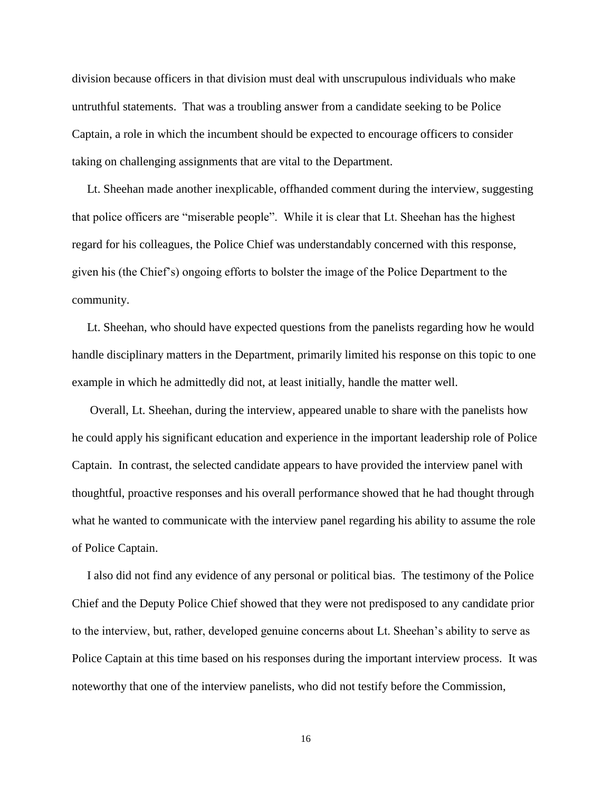division because officers in that division must deal with unscrupulous individuals who make untruthful statements. That was a troubling answer from a candidate seeking to be Police Captain, a role in which the incumbent should be expected to encourage officers to consider taking on challenging assignments that are vital to the Department.

 Lt. Sheehan made another inexplicable, offhanded comment during the interview, suggesting that police officers are "miserable people". While it is clear that Lt. Sheehan has the highest regard for his colleagues, the Police Chief was understandably concerned with this response, given his (the Chief's) ongoing efforts to bolster the image of the Police Department to the community.

 Lt. Sheehan, who should have expected questions from the panelists regarding how he would handle disciplinary matters in the Department, primarily limited his response on this topic to one example in which he admittedly did not, at least initially, handle the matter well.

 Overall, Lt. Sheehan, during the interview, appeared unable to share with the panelists how he could apply his significant education and experience in the important leadership role of Police Captain. In contrast, the selected candidate appears to have provided the interview panel with thoughtful, proactive responses and his overall performance showed that he had thought through what he wanted to communicate with the interview panel regarding his ability to assume the role of Police Captain.

 I also did not find any evidence of any personal or political bias. The testimony of the Police Chief and the Deputy Police Chief showed that they were not predisposed to any candidate prior to the interview, but, rather, developed genuine concerns about Lt. Sheehan's ability to serve as Police Captain at this time based on his responses during the important interview process. It was noteworthy that one of the interview panelists, who did not testify before the Commission,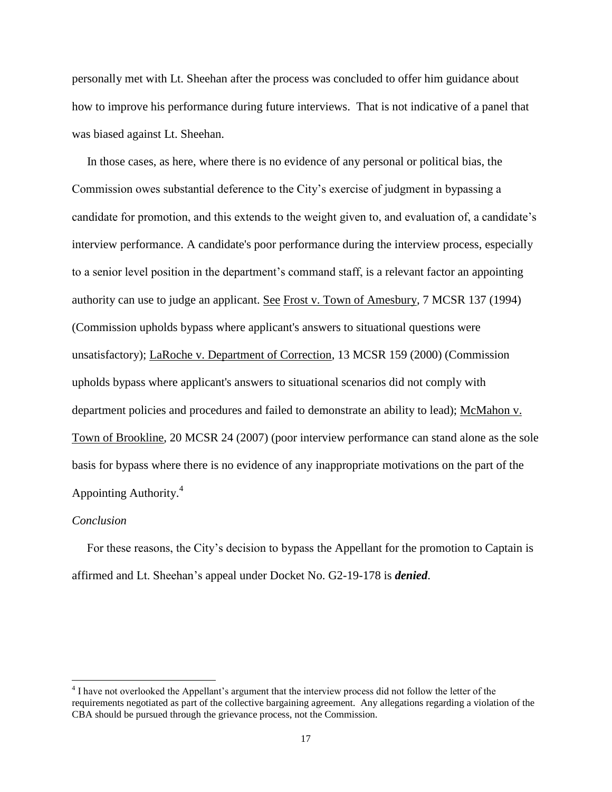personally met with Lt. Sheehan after the process was concluded to offer him guidance about how to improve his performance during future interviews. That is not indicative of a panel that was biased against Lt. Sheehan.

 In those cases, as here, where there is no evidence of any personal or political bias, the Commission owes substantial deference to the City's exercise of judgment in bypassing a candidate for promotion, and this extends to the weight given to, and evaluation of, a candidate's interview performance. A candidate's poor performance during the interview process, especially to a senior level position in the department's command staff, is a relevant factor an appointing authority can use to judge an applicant. See Frost v. Town of Amesbury, 7 MCSR 137 (1994) (Commission upholds bypass where applicant's answers to situational questions were unsatisfactory); LaRoche v. Department of Correction, 13 MCSR 159 (2000) (Commission upholds bypass where applicant's answers to situational scenarios did not comply with department policies and procedures and failed to demonstrate an ability to lead); McMahon v. Town of Brookline, 20 MCSR 24 (2007) (poor interview performance can stand alone as the sole basis for bypass where there is no evidence of any inappropriate motivations on the part of the Appointing Authority. 4

#### *Conclusion*

J.

 For these reasons, the City's decision to bypass the Appellant for the promotion to Captain is affirmed and Lt. Sheehan's appeal under Docket No. G2-19-178 is *denied*.

<sup>&</sup>lt;sup>4</sup> I have not overlooked the Appellant's argument that the interview process did not follow the letter of the requirements negotiated as part of the collective bargaining agreement. Any allegations regarding a violation of the CBA should be pursued through the grievance process, not the Commission.